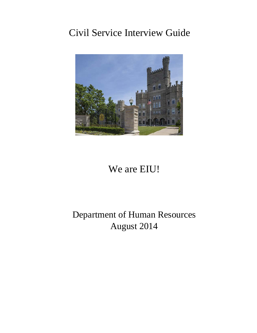# Civil Service Interview Guide



# We are EIU!

# Department of Human Resources August 2014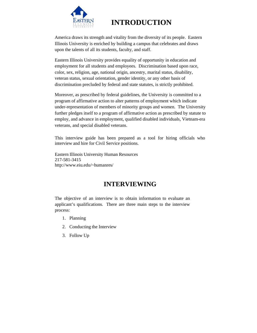

# **INTRODUCTION**

 America draws its strength and vitality from the diversity of its people. Eastern Illinois University is enriched by building a campus that celebrates and draws upon the talents of all its students, faculty, and staff.

 Eastern Illinois University provides equality of opportunity in education and employment for all students and employees. Discrimination based upon race, color, sex, religion, age, national origin, ancestry, marital status, disability, veteran status, sexual orientation, gender identity, or any other basis of discrimination precluded by federal and state statutes, is strictly prohibited.

 Moreover, as prescribed by federal guidelines, the University is committed to a program of affirmative action to alter patterns of employment which indicate under-representation of members of minority groups and women. The University further pledges itself to a program of affirmative action as prescribed by statute to employ, and advance in employment, qualified disabled individuals, Vietnam-era veterans, and special disabled veterans.

This interview guide has been prepared as a tool for hiring officials who interview and hire for Civil Service positions.

Eastern Illinois University Human Resources 217-581-3415 http://www.eiu.edu/~humanres/

# **INTERVIEWING**

The objective of an interview is to obtain information to evaluate an applicant's qualifications. There are three main steps to the interview process:

- 1. Planning
- 2. Conducting the Interview
- 3. Follow Up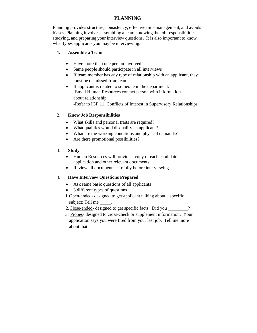# **PLANNING**

Planning provides structure, consistency, effective time management, and avoids biases. Planning involves assembling a team, knowing the job responsibilities, studying, and preparing your interview questions. It is also important to know what types applicants you may be interviewing.

#### **1. Assemble a Team**

- Have more than one person involved
- Same people should participate in all interviews
- If team member has any type of relationship with an applicant, they must be dismissed from team
- If applicant is related to someone in the department: -Email Human Resources contact person with information about relationship -Refer to IGP 11, Conflicts of Interest in Supervisory Relationships

#### 2. **Know Job Responsibilities**

- What skills and personal traits are required?
- What qualities would disqualify an applicant?
- What are the working conditions and physical demands?
- Are there promotional possibilities?

#### 3. **Study**

- Human Resources will provide a copy of each candidate's application and other relevant documents
- Review all documents carefully before interviewing

#### 4. **Have Interview Questions Prepared**

- Ask same basic questions of all applicants
- 3 different types of questions
- 1. Open-ended- designed to get applicant talking about a specific subject: Tell me
- 2. Close-ended- designed to get specific facts: Did you \_\_\_\_\_\_\_?
- 3. Probes- designed to cross-check or supplement information: Your application says you were fired from your last job. Tell me more about that.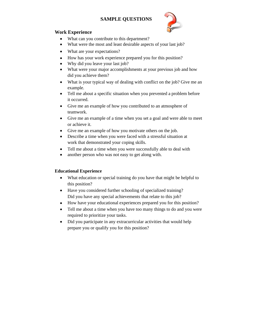# **SAMPLE QUESTIONS**



### **Work Experience**

- What can you contribute to this department?
- What were the most and least desirable aspects of your last job?
- What are your expectations?
- How has your work experience prepared you for this position?
- Why did you leave your last job?
- What were your major accomplishments at your previous job and how did you achieve them?
- What is your typical way of dealing with conflict on the job? Give me an example.
- Tell me about a specific situation when you prevented a problem before it occurred.
- Give me an example of how you contributed to an atmosphere of teamwork.
- Give me an example of a time when you set a goal and were able to meet or achieve it.
- Give me an example of how you motivate others on the job.
- Describe a time when you were faced with a stressful situation at work that demonstrated your coping skills.
- Tell me about a time when you were successfully able to deal with
- another person who was not easy to get along with.

## **Educational Experience**

- What education or special training do you have that might be helpful to this position?
- Have you considered further schooling of specialized training? Did you have any special achievements that relate to this job?
- How have your educational experiences prepared you for this position?
- Tell me about a time when you have too many things to do and you were required to prioritize your tasks.
- Did you participate in any extracurricular activities that would help prepare you or qualify you for this position?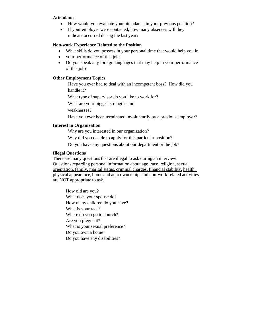#### **Attendance**

- How would you evaluate your attendance in your previous position?
- If your employer were contacted, how many absences will they indicate occurred during the last year?

#### **Non-work Experience Related to the Position**

- What skills do you possess in your personal time that would help you in
- your performance of this job?
- Do you speak any foreign languages that may help in your performance of this job?

#### **Other Employment Topics**

 Have you ever had to deal with an incompetent boss? How did you handle it?

What type of supervisor do you like to work for?

What are your biggest strengths and

weaknesses?

Have you ever been terminated involuntarily by a previous employer?

#### **Interest in Organization**

Why are you interested in our organization?

Why did you decide to apply for this particular position?

Do you have any questions about our department or the job?

#### **Illegal Questions**

There are many questions that are illegal to ask during an interview. Questions regarding personal information about age, race, religion, sexual orientation, family, marital status, criminal charges, financial stability, health, physical appearance, home and auto ownership, and non-work related activities are NOT appropriate to ask.

How old are you? What does your spouse do? How many children do you have? What is your race? Where do you go to church? Are you pregnant? What is your sexual preference? Do you own a home? Do you have any disabilities?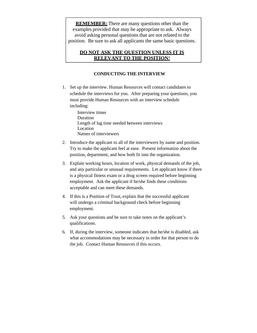**REMEMBER:** There are many questions other than the examples provided that may be appropriate to ask. Always avoid asking personal questions that are not related to the position. Be sure to ask all applicants the same basic questions.

## **DO NOT ASK THE QUESTION UNLESS IT IS RELEVANT TO THE POSITION**!

### **CONDUCTING THE INTERVIEW**

1. Set up the interview. Human Resources will contact candidates to schedule the interviews for you. After preparing your questions, you must provide Human Resources with an interview schedule including:

> Interview times Duration Length of lag time needed between interviews Location Names of interviewers

- 2. Introduce the applicant to all of the interviewers by name and position. Try to make the applicant feel at ease. Present information about the position, department, and how both fit into the organization.
- 3. Explain working hours, location of work, physical demands of the job, and any particular or unusual requirements. Let applicant know if there is a physical fitness exam or a drug screen required before beginning employment. Ask the applicant if he/she finds these conditions acceptable and can meet these demands.
- 4. If this is a Position of Trust, explain that the successful applicant will undergo a criminal background check before beginning employment.
- 5. Ask your questions and be sure to take notes on the applicant's qualifications.
- 6. If, during the interview, someone indicates that he/she is disabled, ask what accommodations may be necessary in order for that person to do the job. Contact Human Resources if this occurs.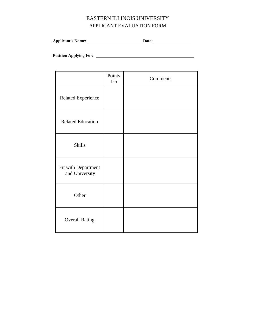# EASTERN ILLINOIS UNIVERSITY APPLICANT EVALUATION FORM

**Applicant's Name: Date:** 

**Position Applying For:** 

|                                       | Points<br>$1 - 5$ | Comments |
|---------------------------------------|-------------------|----------|
| <b>Related Experience</b>             |                   |          |
| <b>Related Education</b>              |                   |          |
| <b>Skills</b>                         |                   |          |
| Fit with Department<br>and University |                   |          |
| Other                                 |                   |          |
| <b>Overall Rating</b>                 |                   |          |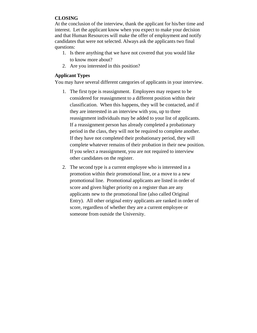# **CLOSING**

At the conclusion of the interview, thank the applicant for his/her time and interest. Let the applicant know when you expect to make your decision and that Human Resources will make the offer of employment and notify candidates that were not selected. Always ask the applicants two final questions:

- 1. Is there anything that we have not covered that you would like to know more about?
- 2. Are you interested in this position?

# **Applicant Types**

You may have several different categories of applicants in your interview.

- 1. The first type is reassignment. Employees may request to be considered for reassignment to a different position within their classification. When this happens, they will be contacted, and if they are interested in an interview with you, up to three reassignment individuals may be added to your list of applicants. If a reassignment person has already completed a probationary period in the class, they will not be required to complete another. If they have not completed their probationary period, they will complete whatever remains of their probation in their new position. If you select a reassignment, you are not required to interview other candidates on the register.
- 2. The second type is a current employee who is interested in a promotion within their promotional line, or a move to a new promotional line. Promotional applicants are listed in order of score and given higher priority on a register than are any applicants new to the promotional line (also called Original Entry). All other original entry applicants are ranked in order of score, regardless of whether they are a current employee or someone from outside the University.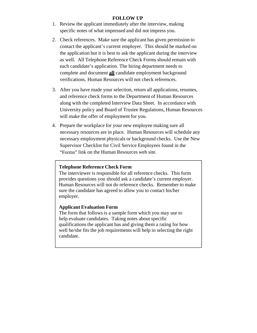## **FOLLOW UP**

- 1. Review the applicant immediately after the interview, making specific notes of what impressed and did not impress you.
- 2. Check references. Make sure the applicant has given permission to contact the applicant's current employer. This should be marked on the application but it is best to ask the applicant during the interview as well. All Telephone Reference Check Forms should remain with each candidate's application. The hiring department needs to complete and document **all** candidate employment background verifications. Human Resources will not check references.
- 3. After you have made your selection, return all applications, resumes, and reference check forms to the Department of Human Resources along with the completed Interview Data Sheet. In accordance with University policy and Board of Trustee Regulations, Human Resources will make the offer of employment for you.
- 4. Prepare the workplace for your new employee making sure all necessary resources are in place. Human Resources will schedule any necessary employment physicals or background checks. Use the New Supervisor Checklist for Civil Service Employees found in the "Forms" link on the Human Resources web site.

#### **Telephone Reference Check Form**

The interviewer is responsible for all reference checks. This form provides questions you should ask a candidate's current employer. Human Resources will not do reference checks. Remember to make sure the candidate has agreed to allow you to contact his/her employer.

## **Applicant Evaluation Form**

The form that follows is a sample form which you may use to help evaluate candidates. Taking notes about specific qualifications the applicant has and giving them a rating for how well he/she fits the job requirements will help in selecting the right candidate.